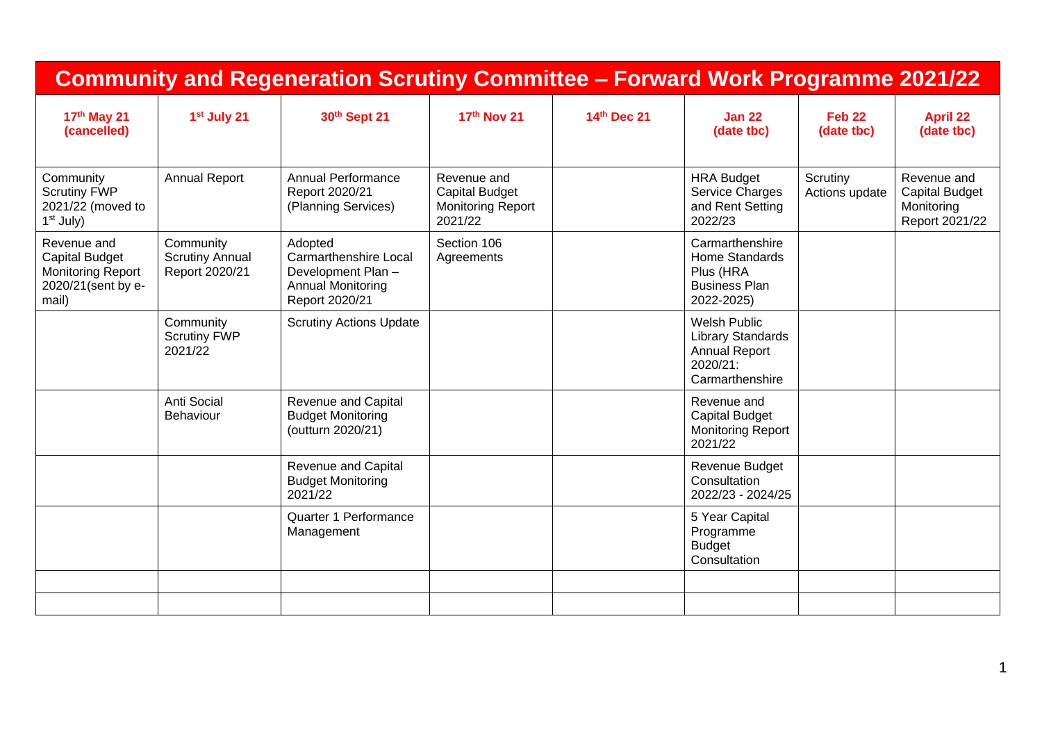| <b>Community and Regeneration Scrutiny Committee - Forward Work Programme 2021/22</b>           |                                                       |                                                                                                            |                                                                             |             |                                                                                                 |                                 |                                                                      |
|-------------------------------------------------------------------------------------------------|-------------------------------------------------------|------------------------------------------------------------------------------------------------------------|-----------------------------------------------------------------------------|-------------|-------------------------------------------------------------------------------------------------|---------------------------------|----------------------------------------------------------------------|
| 17th May 21<br>(cancelled)                                                                      | 1 <sup>st</sup> July 21                               | 30th Sept 21                                                                                               | 17th Nov 21                                                                 | 14th Dec 21 | <b>Jan 22</b><br>(date tbc)                                                                     | Feb <sub>22</sub><br>(date tbc) | <b>April 22</b><br>(date tbc)                                        |
| Community<br><b>Scrutiny FWP</b><br>2021/22 (moved to<br>1 <sup>st</sup> July)                  | <b>Annual Report</b>                                  | Annual Performance<br>Report 2020/21<br>(Planning Services)                                                | Revenue and<br><b>Capital Budget</b><br><b>Monitoring Report</b><br>2021/22 |             | <b>HRA Budget</b><br>Service Charges<br>and Rent Setting<br>2022/23                             | Scrutiny<br>Actions update      | Revenue and<br><b>Capital Budget</b><br>Monitoring<br>Report 2021/22 |
| Revenue and<br><b>Capital Budget</b><br><b>Monitoring Report</b><br>2020/21(sent by e-<br>mail) | Community<br><b>Scrutiny Annual</b><br>Report 2020/21 | Adopted<br><b>Carmarthenshire Local</b><br>Development Plan-<br><b>Annual Monitoring</b><br>Report 2020/21 | Section 106<br>Agreements                                                   |             | Carmarthenshire<br>Home Standards<br>Plus (HRA<br><b>Business Plan</b><br>2022-2025)            |                                 |                                                                      |
|                                                                                                 | Community<br><b>Scrutiny FWP</b><br>2021/22           | <b>Scrutiny Actions Update</b>                                                                             |                                                                             |             | <b>Welsh Public</b><br>Library Standards<br><b>Annual Report</b><br>2020/21:<br>Carmarthenshire |                                 |                                                                      |
|                                                                                                 | Anti Social<br>Behaviour                              | Revenue and Capital<br><b>Budget Monitoring</b><br>(outturn 2020/21)                                       |                                                                             |             | Revenue and<br><b>Capital Budget</b><br><b>Monitoring Report</b><br>2021/22                     |                                 |                                                                      |
|                                                                                                 |                                                       | Revenue and Capital<br><b>Budget Monitoring</b><br>2021/22                                                 |                                                                             |             | Revenue Budget<br>Consultation<br>2022/23 - 2024/25                                             |                                 |                                                                      |
|                                                                                                 |                                                       | Quarter 1 Performance<br>Management                                                                        |                                                                             |             | 5 Year Capital<br>Programme<br><b>Budget</b><br>Consultation                                    |                                 |                                                                      |
|                                                                                                 |                                                       |                                                                                                            |                                                                             |             |                                                                                                 |                                 |                                                                      |
|                                                                                                 |                                                       |                                                                                                            |                                                                             |             |                                                                                                 |                                 |                                                                      |